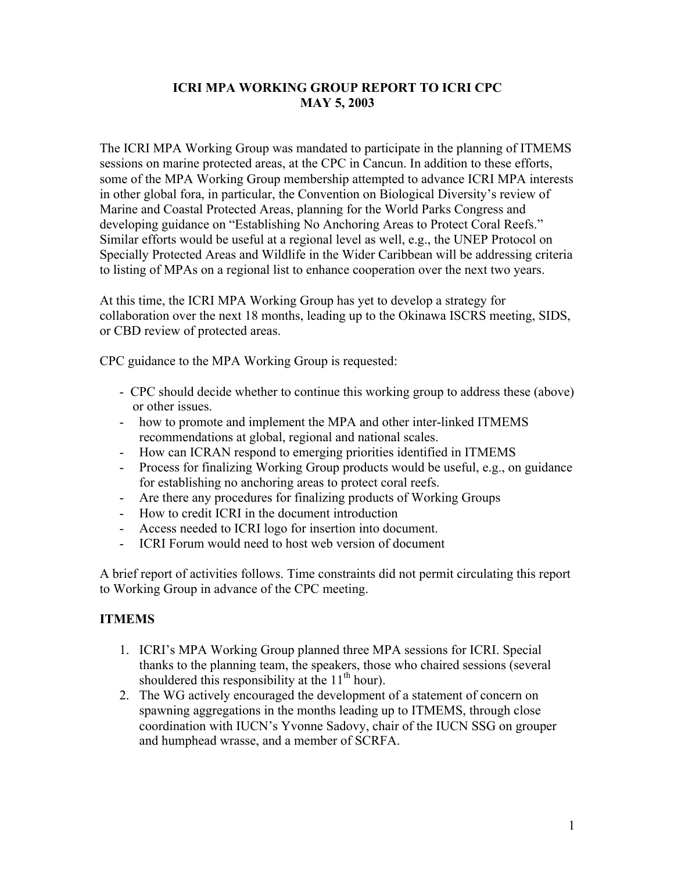## **ICRI MPA WORKING GROUP REPORT TO ICRI CPC MAY 5, 2003**

The ICRI MPA Working Group was mandated to participate in the planning of ITMEMS sessions on marine protected areas, at the CPC in Cancun. In addition to these efforts, some of the MPA Working Group membership attempted to advance ICRI MPA interests in other global fora, in particular, the Convention on Biological Diversity's review of Marine and Coastal Protected Areas, planning for the World Parks Congress and developing guidance on "Establishing No Anchoring Areas to Protect Coral Reefs." Similar efforts would be useful at a regional level as well, e.g., the UNEP Protocol on Specially Protected Areas and Wildlife in the Wider Caribbean will be addressing criteria to listing of MPAs on a regional list to enhance cooperation over the next two years.

At this time, the ICRI MPA Working Group has yet to develop a strategy for collaboration over the next 18 months, leading up to the Okinawa ISCRS meeting, SIDS, or CBD review of protected areas.

CPC guidance to the MPA Working Group is requested:

- CPC should decide whether to continue this working group to address these (above) or other issues.
- how to promote and implement the MPA and other inter-linked ITMEMS recommendations at global, regional and national scales.
- How can ICRAN respond to emerging priorities identified in ITMEMS
- Process for finalizing Working Group products would be useful, e.g., on guidance for establishing no anchoring areas to protect coral reefs.
- Are there any procedures for finalizing products of Working Groups
- How to credit ICRI in the document introduction
- Access needed to ICRI logo for insertion into document.
- ICRI Forum would need to host web version of document

A brief report of activities follows. Time constraints did not permit circulating this report to Working Group in advance of the CPC meeting.

#### **ITMEMS**

- 1. ICRI's MPA Working Group planned three MPA sessions for ICRI. Special thanks to the planning team, the speakers, those who chaired sessions (several shouldered this responsibility at the  $11<sup>th</sup>$  hour).
- 2. The WG actively encouraged the development of a statement of concern on spawning aggregations in the months leading up to ITMEMS, through close coordination with IUCN's Yvonne Sadovy, chair of the IUCN SSG on grouper and humphead wrasse, and a member of SCRFA.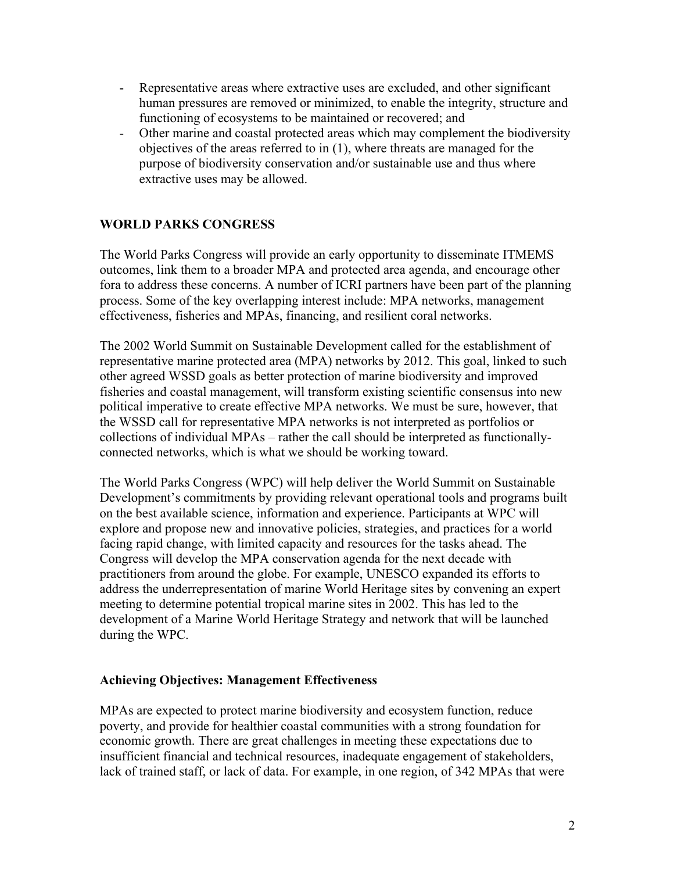- Representative areas where extractive uses are excluded, and other significant human pressures are removed or minimized, to enable the integrity, structure and functioning of ecosystems to be maintained or recovered; and
- Other marine and coastal protected areas which may complement the biodiversity objectives of the areas referred to in (1), where threats are managed for the purpose of biodiversity conservation and/or sustainable use and thus where extractive uses may be allowed.

### **WORLD PARKS CONGRESS**

The World Parks Congress will provide an early opportunity to disseminate ITMEMS outcomes, link them to a broader MPA and protected area agenda, and encourage other fora to address these concerns. A number of ICRI partners have been part of the planning process. Some of the key overlapping interest include: MPA networks, management effectiveness, fisheries and MPAs, financing, and resilient coral networks.

The 2002 World Summit on Sustainable Development called for the establishment of representative marine protected area (MPA) networks by 2012. This goal, linked to such other agreed WSSD goals as better protection of marine biodiversity and improved fisheries and coastal management, will transform existing scientific consensus into new political imperative to create effective MPA networks. We must be sure, however, that the WSSD call for representative MPA networks is not interpreted as portfolios or collections of individual MPAs – rather the call should be interpreted as functionallyconnected networks, which is what we should be working toward.

The World Parks Congress (WPC) will help deliver the World Summit on Sustainable Development's commitments by providing relevant operational tools and programs built on the best available science, information and experience. Participants at WPC will explore and propose new and innovative policies, strategies, and practices for a world facing rapid change, with limited capacity and resources for the tasks ahead. The Congress will develop the MPA conservation agenda for the next decade with practitioners from around the globe. For example, UNESCO expanded its efforts to address the underrepresentation of marine World Heritage sites by convening an expert meeting to determine potential tropical marine sites in 2002. This has led to the development of a Marine World Heritage Strategy and network that will be launched during the WPC.

#### **Achieving Objectives: Management Effectiveness**

MPAs are expected to protect marine biodiversity and ecosystem function, reduce poverty, and provide for healthier coastal communities with a strong foundation for economic growth. There are great challenges in meeting these expectations due to insufficient financial and technical resources, inadequate engagement of stakeholders, lack of trained staff, or lack of data. For example, in one region, of 342 MPAs that were